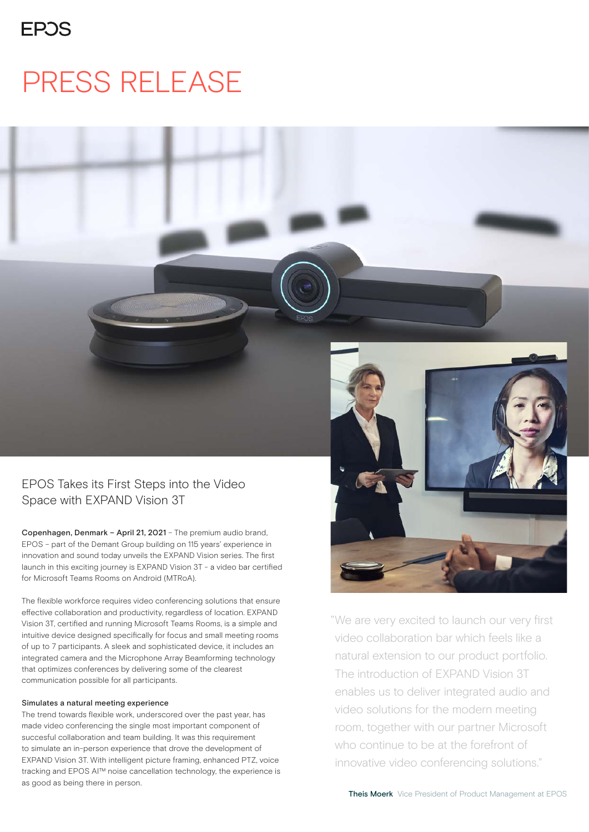# PRESS RELEASE

## EPOS Takes its First Steps into the Video Space with EXPAND Vision 3T

Copenhagen, Denmark – April 21, 2021 – The premium audio brand, EPOS – part of the Demant Group building on 115 years' experience in innovation and sound today unveils the EXPAND Vision series. The first launch in this exciting journey is EXPAND Vision 3T - a video bar certified for Microsoft Teams Rooms on Android (MTRoA).

The flexible workforce requires video conferencing solutions that ensure effective collaboration and productivity, regardless of location. EXPAND Vision 3T, certified and running Microsoft Teams Rooms, is a simple and intuitive device designed specifically for focus and small meeting rooms of up to 7 participants. A sleek and sophisticated device, it includes an integrated camera and the Microphone Array Beamforming technology that optimizes conferences by delivering some of the clearest communication possible for all participants.

#### Simulates a natural meeting experience

The trend towards flexible work, underscored over the past year, has made video conferencing the single most important component of succesful collaboration and team building. It was this requirement to simulate an in-person experience that drove the development of EXPAND Vision 3T. With intelligent picture framing, enhanced PTZ, voice tracking and EPOS AI™ noise cancellation technology, the experience is as good as being there in person.



"We are very excited to launch our very first video collaboration bar which feels like a natural extension to our product portfolio. The introduction of EXPAND Vision 3T enables us to deliver integrated audio and video solutions for the modern meeting room, together with our partner Microsoft who continue to be at the forefront of innovative video conferencing solutions."